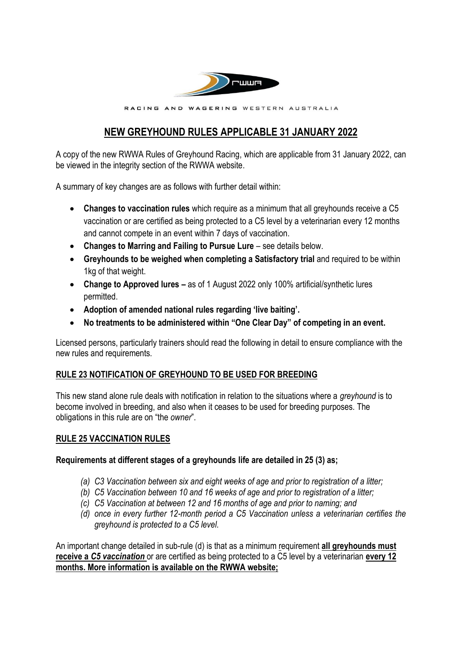

RACING AND WAGERING WESTERN AUSTRALIA

# **NEW GREYHOUND RULES APPLICABLE 31 JANUARY 2022**

A copy of the new RWWA Rules of Greyhound Racing, which are applicable from 31 January 2022, can be viewed in the integrity section of the RWWA website.

A summary of key changes are as follows with further detail within:

- **Changes to vaccination rules** which require as a minimum that all greyhounds receive a C5 vaccination or are certified as being protected to a C5 level by a veterinarian every 12 months and cannot compete in an event within 7 days of vaccination.
- **Changes to Marring and Failing to Pursue Lure** see details below.
- **Greyhounds to be weighed when completing a Satisfactory trial** and required to be within 1kg of that weight.
- **Change to Approved lures** as of 1 August 2022 only 100% artificial/synthetic lures permitted.
- **Adoption of amended national rules regarding 'live baiting'.**
- **No treatments to be administered within "One Clear Day" of competing in an event.**

Licensed persons, particularly trainers should read the following in detail to ensure compliance with the new rules and requirements.

## **RULE 23 NOTIFICATION OF GREYHOUND TO BE USED FOR BREEDING**

This new stand alone rule deals with notification in relation to the situations where a *greyhound* is to become involved in breeding, and also when it ceases to be used for breeding purposes. The obligations in this rule are on "the *owner*".

### **RULE 25 VACCINATION RULES**

### **Requirements at different stages of a greyhounds life are detailed in 25 (3) as;**

- *(a) C3 Vaccination between six and eight weeks of age and prior to registration of a litter;*
- *(b) C5 Vaccination between 10 and 16 weeks of age and prior to registration of a litter;*
- *(c) C5 Vaccination at between 12 and 16 months of age and prior to naming; and*
- *(d) once in every further 12-month period a C5 Vaccination unless a veterinarian certifies the greyhound is protected to a C5 level.*

An important change detailed in sub-rule (d) is that as a minimum requirement **all greyhounds must receive a** *C5 vaccination* or are certified as being protected to a C5 level by a veterinarian **every 12 months. More information is available on the RWWA website;**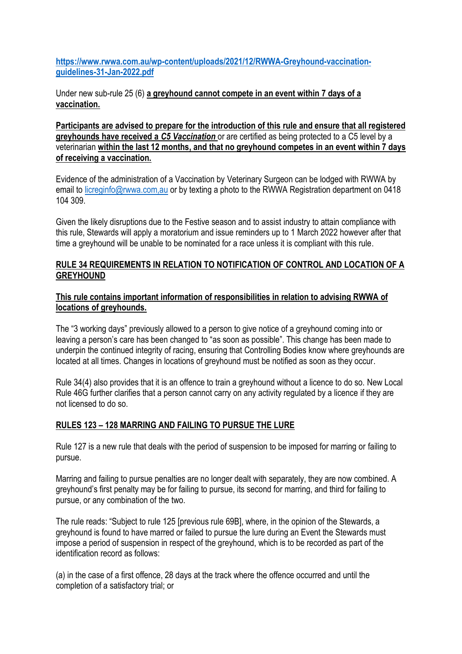**[https://www.rwwa.com.au/wp-content/uploads/2021/12/RWWA-Greyhound-vaccination](https://www.rwwa.com.au/wp-content/uploads/2021/12/RWWA-Greyhound-vaccination-guidelines-31-Jan-2022.pdf)[guidelines-31-Jan-2022.pdf](https://www.rwwa.com.au/wp-content/uploads/2021/12/RWWA-Greyhound-vaccination-guidelines-31-Jan-2022.pdf)**

Under new sub-rule 25 (6) **a greyhound cannot compete in an event within 7 days of a vaccination.**

**Participants are advised to prepare for the introduction of this rule and ensure that all registered greyhounds have received a** *C5 Vaccination* or are certified as being protected to a C5 level by a veterinarian **within the last 12 months, and that no greyhound competes in an event within 7 days of receiving a vaccination.**

Evidence of the administration of a Vaccination by Veterinary Surgeon can be lodged with RWWA by email to [licreginfo@rwwa.com,au](mailto:licreginfo@rwwa.com,au) or by texting a photo to the RWWA Registration department on 0418 104 309.

Given the likely disruptions due to the Festive season and to assist industry to attain compliance with this rule, Stewards will apply a moratorium and issue reminders up to 1 March 2022 however after that time a greyhound will be unable to be nominated for a race unless it is compliant with this rule.

### **RULE 34 REQUIREMENTS IN RELATION TO NOTIFICATION OF CONTROL AND LOCATION OF A GREYHOUND**

### **This rule contains important information of responsibilities in relation to advising RWWA of locations of greyhounds.**

The "3 working days" previously allowed to a person to give notice of a greyhound coming into or leaving a person's care has been changed to "as soon as possible". This change has been made to underpin the continued integrity of racing, ensuring that Controlling Bodies know where greyhounds are located at all times. Changes in locations of greyhound must be notified as soon as they occur.

Rule 34(4) also provides that it is an offence to train a greyhound without a licence to do so. New Local Rule 46G further clarifies that a person cannot carry on any activity regulated by a licence if they are not licensed to do so.

## **RULES 123 – 128 MARRING AND FAILING TO PURSUE THE LURE**

Rule 127 is a new rule that deals with the period of suspension to be imposed for marring or failing to pursue.

Marring and failing to pursue penalties are no longer dealt with separately, they are now combined. A greyhound's first penalty may be for failing to pursue, its second for marring, and third for failing to pursue, or any combination of the two.

The rule reads: "Subject to rule 125 [previous rule 69B], where, in the opinion of the Stewards, a greyhound is found to have marred or failed to pursue the lure during an Event the Stewards must impose a period of suspension in respect of the greyhound, which is to be recorded as part of the identification record as follows:

(a) in the case of a first offence, 28 days at the track where the offence occurred and until the completion of a satisfactory trial; or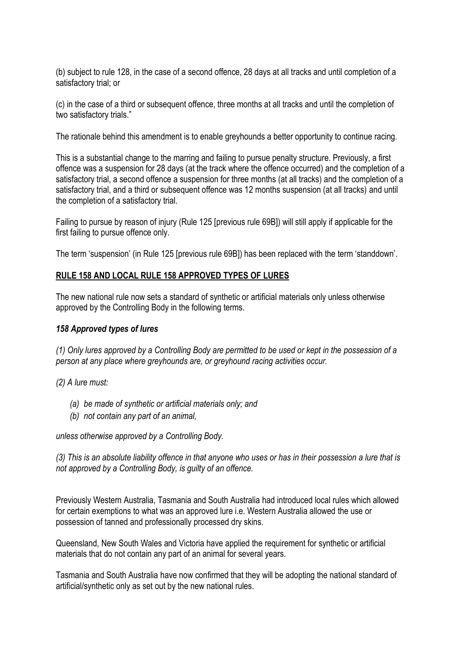(b) subject to rule 128, in the case of a second offence, 28 days at all tracks and until completion of a satisfactory trial; or

(c) in the case of a third or subsequent offence, three months at all tracks and until the completion of two satisfactory trials."

The rationale behind this amendment is to enable greyhounds a better opportunity to continue racing.

This is a substantial change to the marring and failing to pursue penalty structure. Previously, a first offence was a suspension for 28 days (at the track where the offence occurred) and the completion of a satisfactory trial, a second offence a suspension for three months (at all tracks) and the completion of a satisfactory trial, and a third or subsequent offence was 12 months suspension (at all tracks) and until the completion of a satisfactory trial.

Failing to pursue by reason of injury (Rule 125 [previous rule 69B]) will still apply if applicable for the first failing to pursue offence only.

The term 'suspension' (in Rule 125 [previous rule 69B]) has been replaced with the term 'standdown'.

### **RULE 158 AND LOCAL RULE 158 APPROVED TYPES OF LURES**

The new national rule now sets a standard of synthetic or artificial materials only unless otherwise approved by the Controlling Body in the following terms.

#### *158 Approved types of lures*

*(1) Only lures approved by a Controlling Body are permitted to be used or kept in the possession of a person at any place where greyhounds are, or greyhound racing activities occur.*

*(2) A lure must:*

- *(a) be made of synthetic or artificial materials only; and*
- *(b) not contain any part of an animal,*

*unless otherwise approved by a Controlling Body.*

*(3) This is an absolute liability offence in that anyone who uses or has in their possession a lure that is not approved by a Controlling Body, is guilty of an offence.*

Previously Western Australia, Tasmania and South Australia had introduced local rules which allowed for certain exemptions to what was an approved lure i.e. Western Australia allowed the use or possession of tanned and professionally processed dry skins.

Queensland, New South Wales and Victoria have applied the requirement for synthetic or artificial materials that do not contain any part of an animal for several years.

Tasmania and South Australia have now confirmed that they will be adopting the national standard of artificial/synthetic only as set out by the new national rules.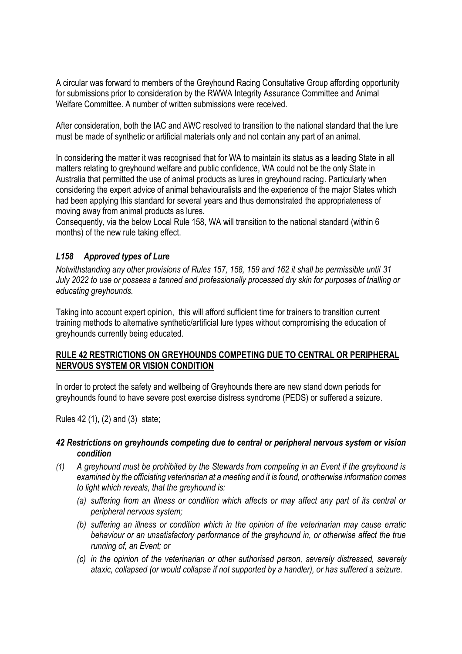A circular was forward to members of the Greyhound Racing Consultative Group affording opportunity for submissions prior to consideration by the RWWA Integrity Assurance Committee and Animal Welfare Committee. A number of written submissions were received.

After consideration, both the IAC and AWC resolved to transition to the national standard that the lure must be made of synthetic or artificial materials only and not contain any part of an animal.

In considering the matter it was recognised that for WA to maintain its status as a leading State in all matters relating to greyhound welfare and public confidence, WA could not be the only State in Australia that permitted the use of animal products as lures in greyhound racing. Particularly when considering the expert advice of animal behaviouralists and the experience of the major States which had been applying this standard for several years and thus demonstrated the appropriateness of moving away from animal products as lures.

Consequently, via the below Local Rule 158, WA will transition to the national standard (within 6 months) of the new rule taking effect.

### *L158 Approved types of Lure*

*Notwithstanding any other provisions of Rules 157, 158, 159 and 162 it shall be permissible until 31 July 2022 to use or possess a tanned and professionally processed dry skin for purposes of trialling or educating greyhounds.*

Taking into account expert opinion, this will afford sufficient time for trainers to transition current training methods to alternative synthetic/artificial lure types without compromising the education of greyhounds currently being educated.

### **RULE 42 RESTRICTIONS ON GREYHOUNDS COMPETING DUE TO CENTRAL OR PERIPHERAL NERVOUS SYSTEM OR VISION CONDITION**

In order to protect the safety and wellbeing of Greyhounds there are new stand down periods for greyhounds found to have severe post exercise distress syndrome (PEDS) or suffered a seizure.

Rules 42 (1), (2) and (3) state;

#### *42 Restrictions on greyhounds competing due to central or peripheral nervous system or vision condition*

- *(1) A greyhound must be prohibited by the Stewards from competing in an Event if the greyhound is examined by the officiating veterinarian at a meeting and it is found, or otherwise information comes to light which reveals, that the greyhound is:* 
	- *(a) suffering from an illness or condition which affects or may affect any part of its central or peripheral nervous system;*
	- *(b) suffering an illness or condition which in the opinion of the veterinarian may cause erratic behaviour or an unsatisfactory performance of the greyhound in, or otherwise affect the true running of, an Event; or*
	- *(c) in the opinion of the veterinarian or other authorised person, severely distressed, severely ataxic, collapsed (or would collapse if not supported by a handler), or has suffered a seizure.*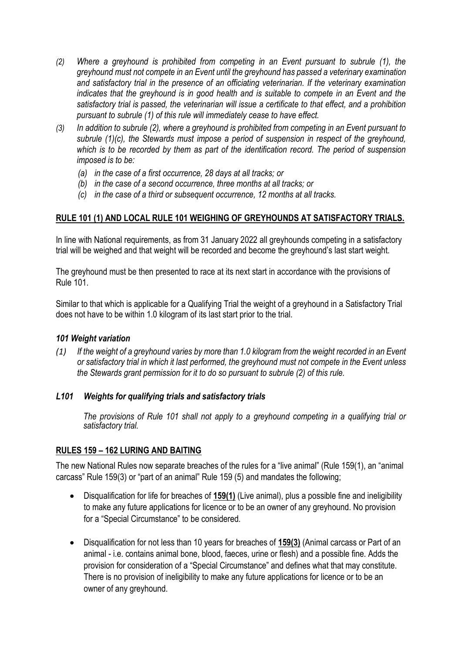- *(2) Where a greyhound is prohibited from competing in an Event pursuant to subrule (1), the greyhound must not compete in an Event until the greyhound has passed a veterinary examination and satisfactory trial in the presence of an officiating veterinarian. If the veterinary examination indicates that the greyhound is in good health and is suitable to compete in an Event and the satisfactory trial is passed, the veterinarian will issue a certificate to that effect, and a prohibition pursuant to subrule (1) of this rule will immediately cease to have effect.*
- *(3) In addition to subrule (2), where a greyhound is prohibited from competing in an Event pursuant to subrule (1)(c), the Stewards must impose a period of suspension in respect of the greyhound, which is to be recorded by them as part of the identification record. The period of suspension imposed is to be:*
	- *(a) in the case of a first occurrence, 28 days at all tracks; or*
	- *(b) in the case of a second occurrence, three months at all tracks; or*
	- *(c) in the case of a third or subsequent occurrence, 12 months at all tracks.*

### **RULE 101 (1) AND LOCAL RULE 101 WEIGHING OF GREYHOUNDS AT SATISFACTORY TRIALS.**

In line with National requirements, as from 31 January 2022 all greyhounds competing in a satisfactory trial will be weighed and that weight will be recorded and become the greyhound's last start weight.

The greyhound must be then presented to race at its next start in accordance with the provisions of Rule 101.

Similar to that which is applicable for a Qualifying Trial the weight of a greyhound in a Satisfactory Trial does not have to be within 1.0 kilogram of its last start prior to the trial.

#### *101 Weight variation*

*(1) If the weight of a greyhound varies by more than 1.0 kilogram from the weight recorded in an Event or satisfactory trial in which it last performed, the greyhound must not compete in the Event unless the Stewards grant permission for it to do so pursuant to subrule (2) of this rule.*

### *L101 Weights for qualifying trials and satisfactory trials*

*The provisions of Rule 101 shall not apply to a greyhound competing in a qualifying trial or satisfactory trial.*

### **RULES 159 – 162 LURING AND BAITING**

The new National Rules now separate breaches of the rules for a "live animal" (Rule 159(1), an "animal carcass" Rule 159(3) or "part of an animal" Rule 159 (5) and mandates the following;

- Disqualification for life for breaches of **159(1)** (Live animal), plus a possible fine and ineligibility to make any future applications for licence or to be an owner of any greyhound. No provision for a "Special Circumstance" to be considered.
- Disqualification for not less than 10 years for breaches of **159(3)** (Animal carcass or Part of an animal - i.e. contains animal bone, blood, faeces, urine or flesh) and a possible fine. Adds the provision for consideration of a "Special Circumstance" and defines what that may constitute. There is no provision of ineligibility to make any future applications for licence or to be an owner of any greyhound.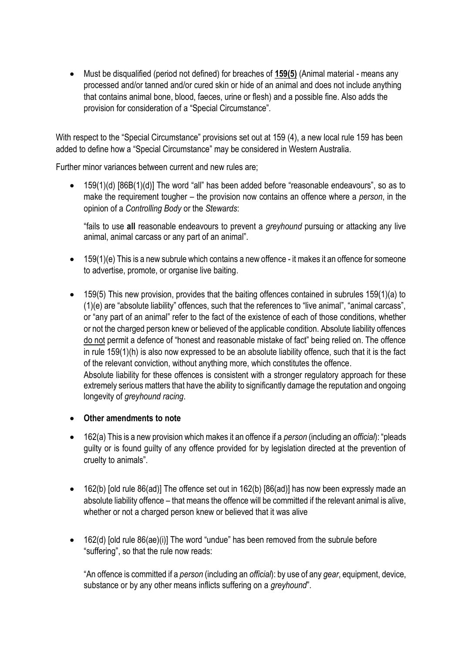• Must be disqualified (period not defined) for breaches of **159(5)** (Animal material - means any processed and/or tanned and/or cured skin or hide of an animal and does not include anything that contains animal bone, blood, faeces, urine or flesh) and a possible fine. Also adds the provision for consideration of a "Special Circumstance".

With respect to the "Special Circumstance" provisions set out at 159 (4), a new local rule 159 has been added to define how a "Special Circumstance" may be considered in Western Australia.

Further minor variances between current and new rules are;

• 159(1)(d) [86B(1)(d)] The word "all" has been added before "reasonable endeavours", so as to make the requirement tougher – the provision now contains an offence where a *person*, in the opinion of a *Controlling Body* or the *Stewards*:

"fails to use **all** reasonable endeavours to prevent a *greyhound* pursuing or attacking any live animal, animal carcass or any part of an animal".

- 159(1)(e) This is a new subrule which contains a new offence it makes it an offence for someone to advertise, promote, or organise live baiting.
- 159(5) This new provision, provides that the baiting offences contained in subrules 159(1)(a) to (1)(e) are "absolute liability" offences, such that the references to "live animal", "animal carcass", or "any part of an animal" refer to the fact of the existence of each of those conditions, whether or not the charged person knew or believed of the applicable condition. Absolute liability offences do not permit a defence of "honest and reasonable mistake of fact" being relied on. The offence in rule 159(1)(h) is also now expressed to be an absolute liability offence, such that it is the fact of the relevant conviction, without anything more, which constitutes the offence. Absolute liability for these offences is consistent with a stronger regulatory approach for these extremely serious matters that have the ability to significantly damage the reputation and ongoing longevity of *greyhound racing*.
- **Other amendments to note**
- 162(a) This is a new provision which makes it an offence if a *person* (including an *official*): "pleads guilty or is found guilty of any offence provided for by legislation directed at the prevention of cruelty to animals".
- 162(b) [old rule 86(ad)] The offence set out in 162(b) [86(ad)] has now been expressly made an absolute liability offence – that means the offence will be committed if the relevant animal is alive, whether or not a charged person knew or believed that it was alive
- 162(d) [old rule 86(ae)(i)] The word "undue" has been removed from the subrule before "suffering", so that the rule now reads:

"An offence is committed if a *person* (including an *official*): by use of any *gear*, equipment, device, substance or by any other means inflicts suffering on a *greyhound*".